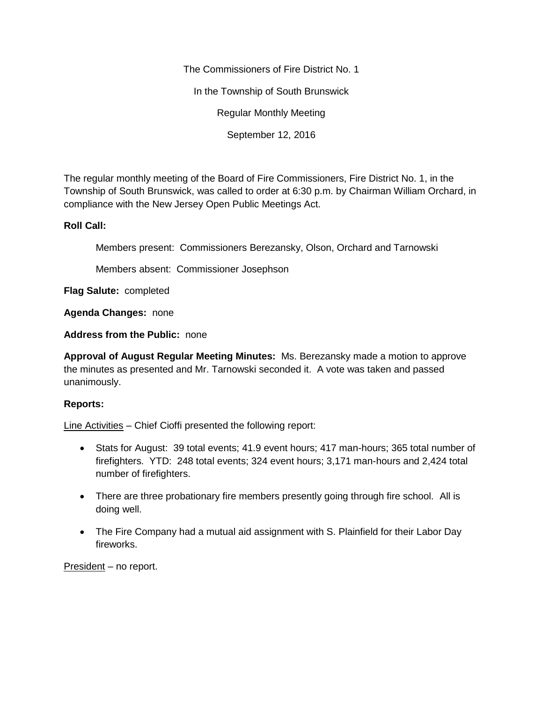The Commissioners of Fire District No. 1

In the Township of South Brunswick

Regular Monthly Meeting

September 12, 2016

The regular monthly meeting of the Board of Fire Commissioners, Fire District No. 1, in the Township of South Brunswick, was called to order at 6:30 p.m. by Chairman William Orchard, in compliance with the New Jersey Open Public Meetings Act.

## **Roll Call:**

Members present: Commissioners Berezansky, Olson, Orchard and Tarnowski

Members absent: Commissioner Josephson

**Flag Salute:** completed

**Agenda Changes:** none

**Address from the Public:** none

**Approval of August Regular Meeting Minutes:** Ms. Berezansky made a motion to approve the minutes as presented and Mr. Tarnowski seconded it. A vote was taken and passed unanimously.

## **Reports:**

Line Activities – Chief Cioffi presented the following report:

- Stats for August: 39 total events; 41.9 event hours; 417 man-hours; 365 total number of firefighters. YTD: 248 total events; 324 event hours; 3,171 man-hours and 2,424 total number of firefighters.
- There are three probationary fire members presently going through fire school. All is doing well.
- The Fire Company had a mutual aid assignment with S. Plainfield for their Labor Day fireworks.

President – no report.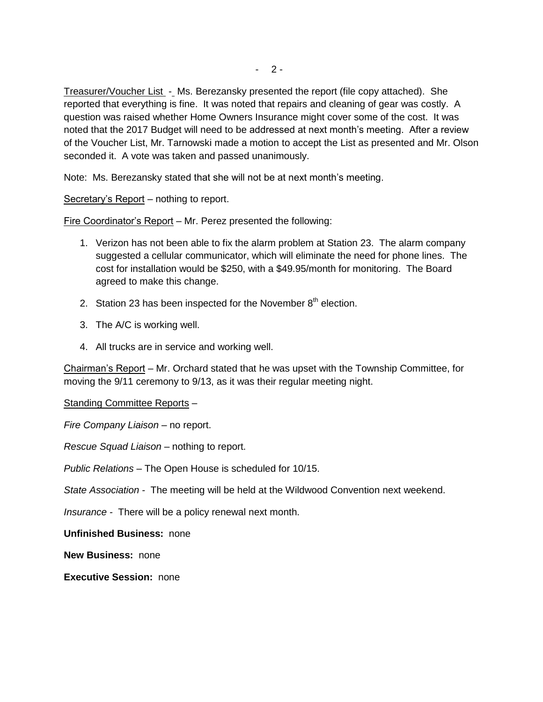Treasurer/Voucher List - Ms. Berezansky presented the report (file copy attached). She reported that everything is fine. It was noted that repairs and cleaning of gear was costly. A question was raised whether Home Owners Insurance might cover some of the cost. It was noted that the 2017 Budget will need to be addressed at next month's meeting. After a review of the Voucher List, Mr. Tarnowski made a motion to accept the List as presented and Mr. Olson seconded it. A vote was taken and passed unanimously.

Note: Ms. Berezansky stated that she will not be at next month's meeting.

Secretary's Report - nothing to report.

Fire Coordinator's Report – Mr. Perez presented the following:

- 1. Verizon has not been able to fix the alarm problem at Station 23. The alarm company suggested a cellular communicator, which will eliminate the need for phone lines. The cost for installation would be \$250, with a \$49.95/month for monitoring. The Board agreed to make this change.
- 2. Station 23 has been inspected for the November  $8<sup>th</sup>$  election.
- 3. The A/C is working well.
- 4. All trucks are in service and working well.

Chairman's Report – Mr. Orchard stated that he was upset with the Township Committee, for moving the 9/11 ceremony to 9/13, as it was their regular meeting night.

Standing Committee Reports –

*Fire Company Liaison –* no report.

*Rescue Squad Liaison –* nothing to report.

*Public Relations –* The Open House is scheduled for 10/15.

*State Association -* The meeting will be held at the Wildwood Convention next weekend.

*Insurance -* There will be a policy renewal next month.

**Unfinished Business:** none

**New Business:** none

**Executive Session:** none